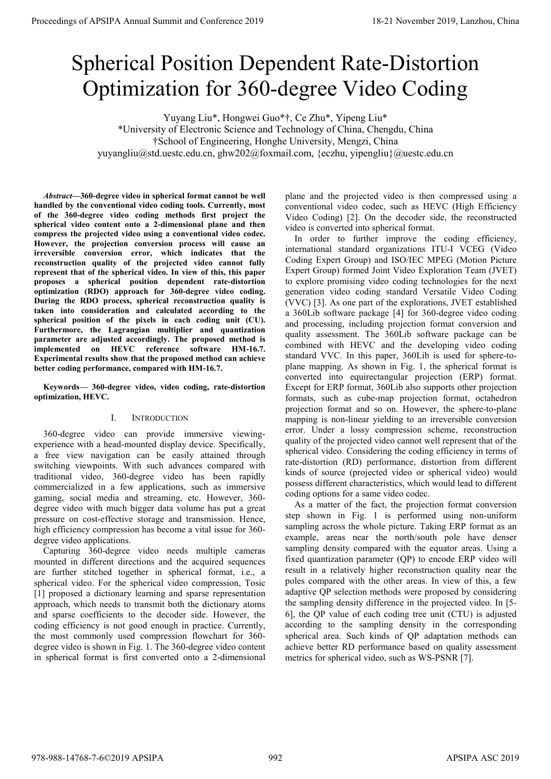# Spherical Position Dependent Rate-Distortion Optimization for 360-degree Video Coding

Yuyang Liu\*, Hongwei Guo\*†, Ce Zhu\*, Yipeng Liu\* \*University of Electronic Science and Technology of China, Chengdu, China †School of Engineering, Honghe University, Mengzi, China yuyangliu@std.uestc.edu.cn, ghw202@foxmail.com, {eczhu, yipengliu}@uestc.edu.cn

*Abstract***—360-degree video in spherical format cannot be well handled by the conventional video coding tools. Currently, most of the 360-degree video coding methods first project the spherical video content onto a 2-dimensional plane and then compress the projected video using a conventional video codec. However, the projection conversion process will cause an irreversible conversion error, which indicates that the reconstruction quality of the projected video cannot fully represent that of the spherical video. In view of this, this paper proposes a spherical position dependent rate-distortion optimization (RDO) approach for 360-degree video coding. During the RDO process, spherical reconstruction quality is taken into consideration and calculated according to the spherical position of the pixels in each coding unit (CU). Furthermore, the Lagrangian multiplier and quantization parameter are adjusted accordingly. The proposed method is implemented on HEVC reference software HM-16.7. Experimental results show that the proposed method can achieve better coding performance, compared with HM-16.7.**

**Keywords— 360-degree video, video coding, rate-distortion optimization, HEVC.** 

## I. INTRODUCTION

360-degree video can provide immersive viewingexperience with a head-mounted display device. Specifically, a free view navigation can be easily attained through switching viewpoints. With such advances compared with traditional video, 360-degree video has been rapidly commercialized in a few applications, such as immersive gaming, social media and streaming, etc. However, 360 degree video with much bigger data volume has put a great pressure on cost-effective storage and transmission. Hence, high efficiency compression has become a vital issue for 360 degree video applications.

Capturing 360-degree video needs multiple cameras mounted in different directions and the acquired sequences are further stitched together in spherical format, i.e., a spherical video. For the spherical video compression, Tosic [1] proposed a dictionary learning and sparse representation approach, which needs to transmit both the dictionary atoms and sparse coefficients to the decoder side. However, the coding efficiency is not good enough in practice. Currently, the most commonly used compression flowchart for 360 degree video is shown in Fig. 1. The 360-degree video content in spherical format is first converted onto a 2-dimensional plane and the projected video is then compressed using a conventional video codec, such as HEVC (High Efficiency Video Coding) [2]. On the decoder side, the reconstructed video is converted into spherical format.

In order to further improve the coding efficiency, international standard organizations ITU-I VCEG (Video Coding Expert Group) and ISO/IEC MPEG (Motion Picture Expert Group) formed Joint Video Exploration Team (JVET) to explore promising video coding technologies for the next generation video coding standard Versatile Video Coding (VVC) [3]. As one part of the explorations, JVET established a 360Lib software package [4] for 360-degree video coding and processing, including projection format conversion and quality assessment. The 360Lib software package can be combined with HEVC and the developing video coding standard VVC. In this paper, 360Lib is used for sphere-toplane mapping. As shown in Fig. 1, the spherical format is converted into equirectangular projection (ERP) format. Except for ERP format, 360Lib also supports other projection formats, such as cube-map projection format, octahedron projection format and so on. However, the sphere-to-plane mapping is non-linear yielding to an irreversible conversion error. Under a lossy compression scheme, reconstruction quality of the projected video cannot well represent that of the spherical video. Considering the coding efficiency in terms of rate-distortion (RD) performance, distortion from different kinds of source (projected video or spherical video) would possess different characteristics, which would lead to different coding options for a same video codec. **Proceedings of APSIPA Annual Summit at China 978-988-14768 and Conference 2019 and Conference 2019 and Conference 2019 and Conference 2019 and Conference 2019 and Conference 2019 and Conference 2019 and Conference 2019 a** 

As a matter of the fact, the projection format conversion step shown in Fig. 1 is performed using non-uniform sampling across the whole picture. Taking ERP format as an example, areas near the north/south pole have denser sampling density compared with the equator areas. Using a fixed quantization parameter (QP) to encode ERP video will result in a relatively higher reconstruction quality near the poles compared with the other areas. In view of this, a few adaptive QP selection methods were proposed by considering the sampling density difference in the projected video. In [5- 6], the QP value of each coding tree unit (CTU) is adjusted according to the sampling density in the corresponding spherical area. Such kinds of QP adaptation methods can achieve better RD performance based on quality assessment metrics for spherical video, such as WS-PSNR [7].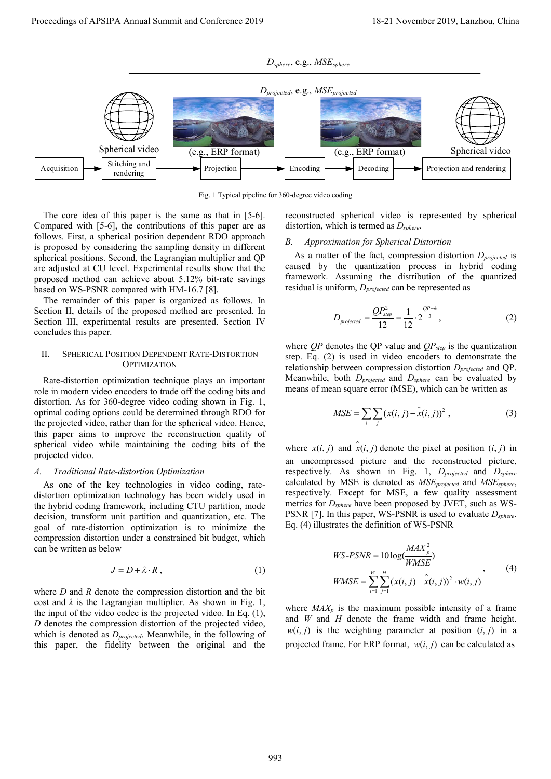

Fig. 1 Typical pipeline for 360-degree video coding

The core idea of this paper is the same as that in [5-6]. Compared with [5-6], the contributions of this paper are as follows. First, a spherical position dependent RDO approach is proposed by considering the sampling density in different spherical positions. Second, the Lagrangian multiplier and QP are adjusted at CU level. Experimental results show that the proposed method can achieve about 5.12% bit-rate savings based on WS-PSNR compared with HM-16.7 [8].

The remainder of this paper is organized as follows. In Section II, details of the proposed method are presented. In Section III, experimental results are presented. Section IV concludes this paper.

## II. SPHERICAL POSITION DEPENDENT RATE-DISTORTION **OPTIMIZATION**

Rate-distortion optimization technique plays an important role in modern video encoders to trade off the coding bits and distortion. As for 360-degree video coding shown in Fig. 1, optimal coding options could be determined through RDO for the projected video, rather than for the spherical video. Hence, this paper aims to improve the reconstruction quality of spherical video while maintaining the coding bits of the projected video.

## *A. Traditional Rate-distortion Optimization*

As one of the key technologies in video coding, ratedistortion optimization technology has been widely used in the hybrid coding framework, including CTU partition, mode decision, transform unit partition and quantization, etc. The goal of rate-distortion optimization is to minimize the compression distortion under a constrained bit budget, which can be written as below

$$
J = D + \lambda \cdot R \,, \tag{1}
$$

where *D* and *R* denote the compression distortion and the bit cost and  $\lambda$  is the Lagrangian multiplier. As shown in Fig. 1, the input of the video codec is the projected video. In Eq. (1), *D* denotes the compression distortion of the projected video, which is denoted as *Dprojected*. Meanwhile, in the following of this paper, the fidelity between the original and the

reconstructed spherical video is represented by spherical distortion, which is termed as *Dsphere*.

## *B. Approximation for Spherical Distortion*

As a matter of the fact, compression distortion *Dprojected* is caused by the quantization process in hybrid coding framework. Assuming the distribution of the quantized residual is uniform, *Dprojected* can be represented as

$$
D_{projected} = \frac{QP_{step}^2}{12} = \frac{1}{12} \cdot 2^{\frac{QP - 4}{3}},
$$
 (2)

where  $QP$  denotes the QP value and  $QP_{step}$  is the quantization step. Eq. (2) is used in video encoders to demonstrate the relationship between compression distortion *Dprojected* and QP. Meanwhile, both *Dprojected* and *Dsphere* can be evaluated by means of mean square error (MSE), which can be written as

$$
MSE = \sum_{i} \sum_{j} (x(i, j) - \hat{x}(i, j))^{2}, \qquad (3)
$$

where  $x(i, j)$  and  $\hat{x}(i, j)$  denote the pixel at position  $(i, j)$  in an uncompressed picture and the reconstructed picture, respectively. As shown in Fig. 1, *Dprojected* and *Dsphere* calculated by MSE is denoted as *MSEprojected* and *MSEsphere*, respectively. Except for MSE, a few quality assessment metrics for *Dsphere* have been proposed by JVET, such as WS-PSNR [7]. In this paper, WS-PSNR is used to evaluate  $D_{sphere}$ . Eq. (4) illustrates the definition of WS-PSNR

$$
WS\text{-}PSNR = 10\log(\frac{MAX_p^2}{WMSE})
$$
  
\n
$$
WMSE = \sum_{i=1}^{W} \sum_{j=1}^{H} (x(i,j) - \hat{x}(i,j))^2 \cdot w(i,j)
$$
 (4)

where  $MAX_p$  is the maximum possible intensity of a frame and *W* and *H* denote the frame width and frame height.  $w(i, j)$  is the weighting parameter at position  $(i, j)$  in a projected frame. For ERP format,  $w(i, j)$  can be calculated as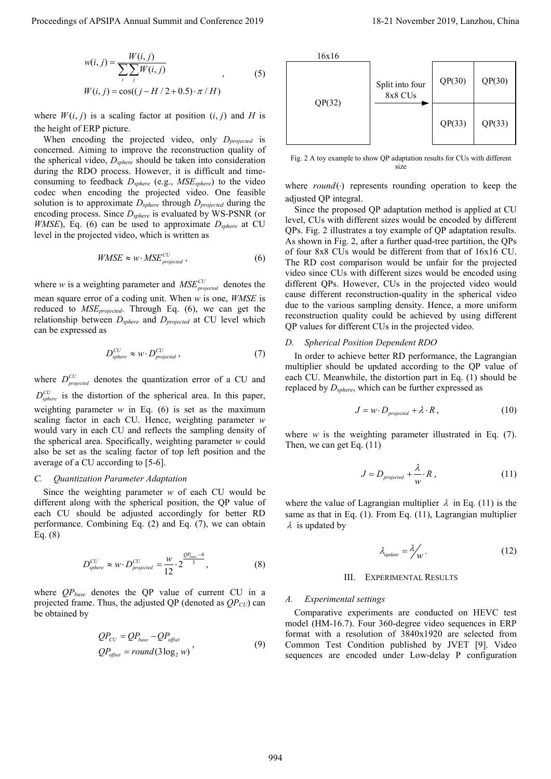$$
w(i, j) = \frac{W(i, j)}{\sum_{i} \sum_{j} W(i, j)}
$$
  
W(i, j) = cos((j - H/2 + 0.5) ·  $\pi$ /H) (5)

where  $W(i, j)$  is a scaling factor at position  $(i, j)$  and *H* is the height of ERP picture.

When encoding the projected video, only *D<sub>projected</sub>* is concerned. Aiming to improve the reconstruction quality of the spherical video, *Dsphere* should be taken into consideration during the RDO process. However, it is difficult and timeconsuming to feedback *Dsphere* (e.g., *MSEsphere*) to the video codec when encoding the projected video. One feasible solution is to approximate *Dsphere* through *Dprojected* during the encoding process. Since *Dsphere* is evaluated by WS-PSNR (or *WMSE*), Eq. (6) can be used to approximate  $D_{sphere}$  at CU level in the projected video, which is written as

$$
WMSE \approx w \cdot MSE_{projected}^{CU},\tag{6}
$$

where *w* is a weighting parameter and  $MSE_{projected}^{CU}$  denotes the mean square error of a coding unit. When *w* is one, *WMSE* is reduced to *MSEprojected*. Through Eq. (6), we can get the relationship between *Dsphere* and *Dprojected* at CU level which can be expressed as

$$
D_{sphere}^{CU} \approx w \cdot D_{projected}^{CU}, \qquad (7)
$$

where  $D_{projected}^{CU}$  denotes the quantization error of a CU and  $D_{sphere}^{CU}$  is the distortion of the spherical area. In this paper, weighting parameter  $w$  in Eq. (6) is set as the maximum scaling factor in each CU. Hence, weighting parameter *w* would vary in each CU and reflects the sampling density of the spherical area. Specifically, weighting parameter *w* could also be set as the scaling factor of top left position and the average of a CU according to [5-6].

## *C. Quantization Parameter Adaptation*

Since the weighting parameter *w* of each CU would be different along with the spherical position, the QP value of each CU should be adjusted accordingly for better RD performance. Combining Eq. (2) and Eq. (7), we can obtain Eq. (8)

$$
D_{sphere}^{CU} \approx w \cdot D_{projected}^{CU} = \frac{w}{12} \cdot 2^{\frac{QP_{base} - 4}{3}},
$$
 (8)

where *QPbase* denotes the QP value of current CU in a projected frame. Thus, the adjusted QP (denoted as  $QP_{CU}$ ) can be obtained by

$$
QP_{CU} = QP_{base} - QP_{offset}
$$
  
\n
$$
QP_{offset} = round(3\log_2 w)
$$
\n(9)



Fig. 2 A toy example to show QP adaptation results for CUs with different size

where *round*(·) represents rounding operation to keep the adjusted QP integral.

Since the proposed QP adaptation method is applied at CU level, CUs with different sizes would be encoded by different QPs. Fig. 2 illustrates a toy example of QP adaptation results. As shown in Fig. 2, after a further quad-tree partition, the QPs of four 8x8 CUs would be different from that of 16x16 CU. The RD cost comparison would be unfair for the projected video since CUs with different sizes would be encoded using different QPs. However, CUs in the projected video would cause different reconstruction-quality in the spherical video due to the various sampling density. Hence, a more uniform reconstruction quality could be achieved by using different QP values for different CUs in the projected video. Proceedings of APSIPA Annual Summit and Conference 2019<br>
Proceedings of APSIPA Annual Summit and Conference 2019<br>
Proceeding and Conference 2019<br>
Proceeding and Conference 2019<br>
Proceeding and Conference 2019<br>
November 20

## *D. Spherical Position Dependent RDO*

In order to achieve better RD performance, the Lagrangian multiplier should be updated according to the QP value of each CU. Meanwhile, the distortion part in Eq. (1) should be replaced by *Dsphere*, which can be further expressed as

$$
J = w \cdot D_{projected} + \lambda \cdot R, \qquad (10)
$$

where *w* is the weighting parameter illustrated in Eq. (7). Then, we can get Eq. (11)

$$
J = D_{projected} + \frac{\lambda}{w} \cdot R \,, \tag{11}
$$

where the value of Lagrangian multiplier  $\lambda$  in Eq. (11) is the same as that in Eq. (1). From Eq. (11), Lagrangian multiplier  $\lambda$  is updated by

$$
\lambda_{\text{update}} = \lambda_{\text{W}}' \,. \tag{12}
$$

#### III. EXPERIMENTAL RESULTS

## *A. Experimental settings*

Comparative experiments are conducted on HEVC test model (HM-16.7). Four 360-degree video sequences in ERP format with a resolution of 3840x1920 are selected from Common Test Condition published by JVET [9]. Video sequences are encoded under Low-delay P configuration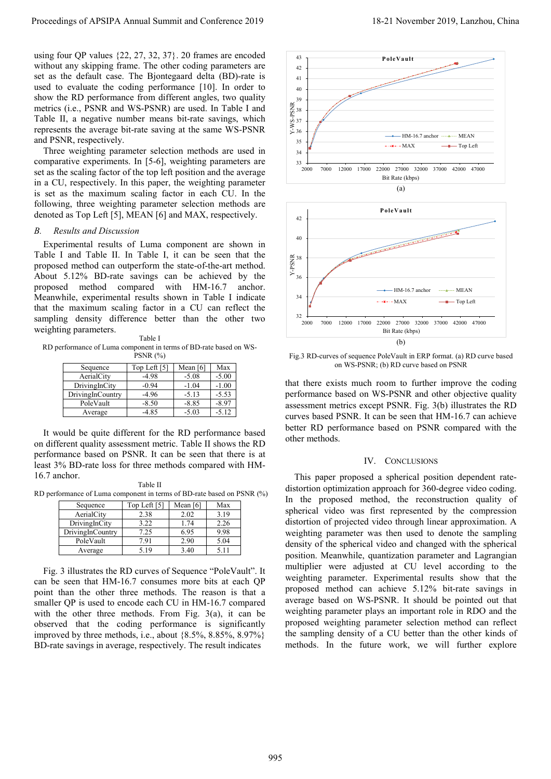using four QP values {22, 27, 32, 37}. 20 frames are encoded without any skipping frame. The other coding parameters are set as the default case. The Bjontegaard delta (BD)-rate is used to evaluate the coding performance [10]. In order to show the RD performance from different angles, two quality metrics (i.e., PSNR and WS-PSNR) are used. In Table I and Table II, a negative number means bit-rate savings, which represents the average bit-rate saving at the same WS-PSNR and PSNR, respectively.

Three weighting parameter selection methods are used in comparative experiments. In [5-6], weighting parameters are set as the scaling factor of the top left position and the average in a CU, respectively. In this paper, the weighting parameter is set as the maximum scaling factor in each CU. In the following, three weighting parameter selection methods are denoted as Top Left [5], MEAN [6] and MAX, respectively.

## *B. Results and Discussion*

Experimental results of Luma component are shown in Table I and Table II. In Table I, it can be seen that the proposed method can outperform the state-of-the-art method. About 5.12% BD-rate savings can be achieved by the proposed method compared with HM-16.7 anchor. Meanwhile, experimental results shown in Table I indicate that the maximum scaling factor in a CU can reflect the sampling density difference better than the other two weighting parameters.

Table I RD performance of Luma component in terms of BD-rate based on WS-PSNR (%)

|                  | -------      |            |         |
|------------------|--------------|------------|---------|
| Sequence         | Top Left [5] | Mean $[6]$ | Max     |
| AerialCity       | $-4.98$      | $-5.08$    | $-5.00$ |
| DrivingInCity    | $-0.94$      | $-1.04$    | $-1.00$ |
| DrivingInCountry | $-4.96$      | $-5.13$    | $-5.53$ |
| PoleVault        | $-8.50$      | $-8.85$    | $-8.97$ |
| Average          | -4.85        | $-5.03$    | $-5.12$ |

It would be quite different for the RD performance based on different quality assessment metric. Table II shows the RD performance based on PSNR. It can be seen that there is at least 3% BD-rate loss for three methods compared with HM-16.7 anchor.

Table II RD performance of Luma component in terms of BD-rate based on PSNR (%)

| Sequence         | Top Left [5] | Mean $[6]$ | Max  |
|------------------|--------------|------------|------|
| AerialCity       | 2.38         | 2.02       | 3.19 |
| DrivingInCity    | 3.22         | 1.74       | 2.26 |
| DrivingInCountry | 7.25         | 6.95       | 9.98 |
| PoleVault        | 7.91         | 2.90       | 5.04 |
| Average          | i 19         | 3.40       |      |

Fig. 3 illustrates the RD curves of Sequence "PoleVault". It can be seen that HM-16.7 consumes more bits at each QP point than the other three methods. The reason is that a smaller QP is used to encode each CU in HM-16.7 compared with the other three methods. From Fig. 3(a), it can be observed that the coding performance is significantly improved by three methods, i.e., about {8.5%, 8.85%, 8.97%} BD-rate savings in average, respectively. The result indicates





Fig.3 RD-curves of sequence PoleVault in ERP format. (a) RD curve based on WS-PSNR; (b) RD curve based on PSNR

that there exists much room to further improve the coding performance based on WS-PSNR and other objective quality assessment metrics except PSNR. Fig. 3(b) illustrates the RD curves based PSNR. It can be seen that HM-16.7 can achieve better RD performance based on PSNR compared with the other methods.

## IV. CONCLUSIONS

This paper proposed a spherical position dependent ratedistortion optimization approach for 360-degree video coding. In the proposed method, the reconstruction quality of spherical video was first represented by the compression distortion of projected video through linear approximation. A weighting parameter was then used to denote the sampling density of the spherical video and changed with the spherical position. Meanwhile, quantization parameter and Lagrangian multiplier were adjusted at CU level according to the weighting parameter. Experimental results show that the proposed method can achieve 5.12% bit-rate savings in average based on WS-PSNR. It should be pointed out that weighting parameter plays an important role in RDO and the proposed weighting parameter selection method can reflect the sampling density of a CU better than the other kinds of methods. In the future work, we will further explore Proceeding of APSIPA Annual Summit and Equity 2019<br>
The Conference 2019 12-21 November 2019 12-21 November 2019 12-21 November 2019 12-22 November 2019 12-22 November 2019 12-22 November 2019 12-22 November 2019 12-22 Nov